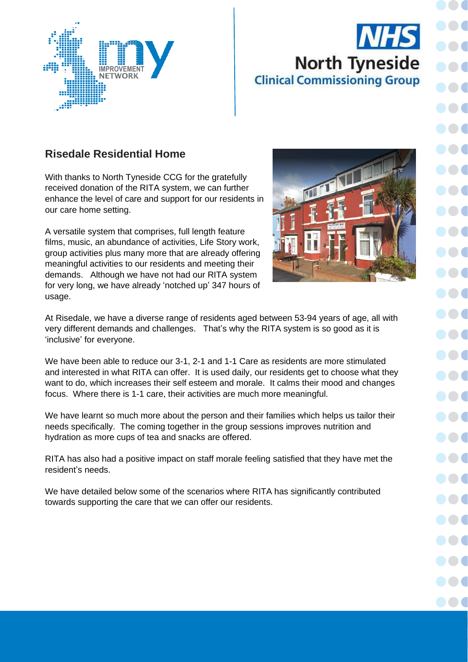

## **North Tyneside Clinical Commissioning Group**

DO C

## **Risedale Residential Home**

With thanks to North Tyneside CCG for the gratefully received donation of the RITA system, we can further enhance the level of care and support for our residents in our care home setting.

A versatile system that comprises, full length feature films, music, an abundance of activities, Life Story work, group activities plus many more that are already offering meaningful activities to our residents and meeting their demands. Although we have not had our RITA system for very long, we have already 'notched up' 347 hours of usage.



At Risedale, we have a diverse range of residents aged between 53-94 years of age, all with very different demands and challenges. That's why the RITA system is so good as it is 'inclusive' for everyone.

We have been able to reduce our 3-1, 2-1 and 1-1 Care as residents are more stimulated and interested in what RITA can offer. It is used daily, our residents get to choose what they want to do, which increases their self esteem and morale. It calms their mood and changes focus. Where there is 1-1 care, their activities are much more meaningful.

We have learnt so much more about the person and their families which helps us tailor their needs specifically. The coming together in the group sessions improves nutrition and hydration as more cups of tea and snacks are offered.

RITA has also had a positive impact on staff morale feeling satisfied that they have met the resident's needs.

We have detailed below some of the scenarios where RITA has significantly contributed towards supporting the care that we can offer our residents.